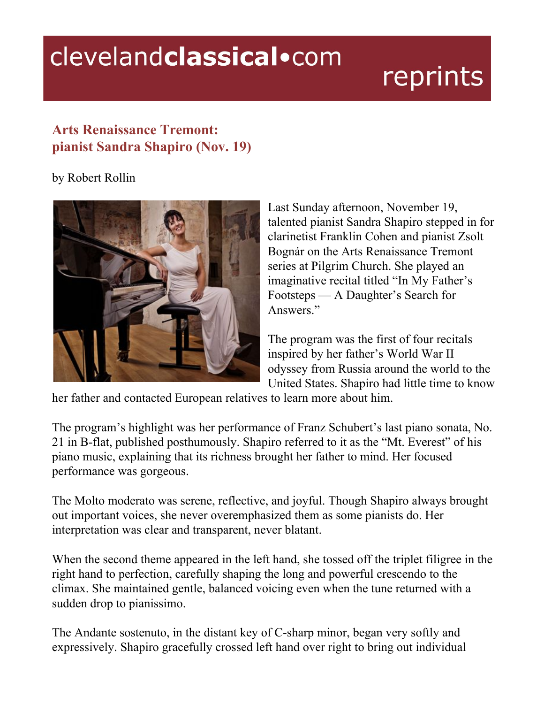## clevelandclassical.com

## reprints

## **Arts Renaissance Tremont: pianist Sandra Shapiro (Nov. 19)**

## by Robert Rollin



Last Sunday afternoon, November 19, talented pianist Sandra Shapiro stepped in for clarinetist Franklin Cohen and pianist Zsolt Bognár on the Arts Renaissance Tremont series at Pilgrim Church. She played an imaginative recital titled "In My Father's Footsteps — A Daughter's Search for Answers."

The program was the first of four recitals inspired by her father's World War II odyssey from Russia around the world to the United States. Shapiro had little time to know

her father and contacted European relatives to learn more about him.

The program's highlight was her performance of Franz Schubert's last piano sonata, No. 21 in B-flat, published posthumously. Shapiro referred to it as the "Mt. Everest" of his piano music, explaining that its richness brought her father to mind. Her focused performance was gorgeous.

The Molto moderato was serene, reflective, and joyful. Though Shapiro always brought out important voices, she never overemphasized them as some pianists do. Her interpretation was clear and transparent, never blatant.

When the second theme appeared in the left hand, she tossed off the triplet filigree in the right hand to perfection, carefully shaping the long and powerful crescendo to the climax. She maintained gentle, balanced voicing even when the tune returned with a sudden drop to pianissimo.

The Andante sostenuto, in the distant key of C-sharp minor, began very softly and expressively. Shapiro gracefully crossed left hand over right to bring out individual